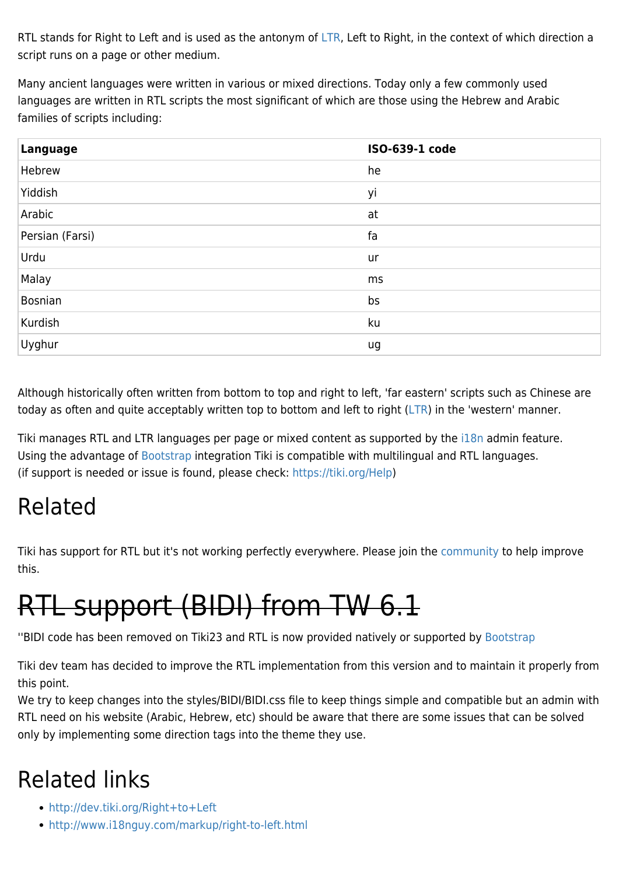RTL stands for Right to Left and is used as the antonym of [LTR,](https://doc.tiki.org/LTR) Left to Right, in the context of which direction a script runs on a page or other medium.

Many ancient languages were written in various or mixed directions. Today only a few commonly used languages are written in RTL scripts the most significant of which are those using the Hebrew and Arabic families of scripts including:

| Language        | ISO-639-1 code |
|-----------------|----------------|
| Hebrew          | he             |
| Yiddish         | yi             |
| Arabic          | at             |
| Persian (Farsi) | fa             |
| Urdu            | ur             |
| Malay           | ms             |
| Bosnian         | bs             |
| Kurdish         | ku             |
| Uyghur          | ug             |

Although historically often written from bottom to top and right to left, 'far eastern' scripts such as Chinese are today as often and quite acceptably written top to bottom and left to right [\(LTR\)](https://doc.tiki.org/LTR) in the 'western' manner.

Tiki manages RTL and LTR languages per page or mixed content as supported by the il 8n admin feature. Using the advantage of [Bootstrap](https://doc.tiki.org/Bootstrap) integration Tiki is compatible with multilingual and RTL languages. (if support is needed or issue is found, please check:<https://tiki.org/Help>)

## Related

Tiki has support for RTL but it's not working perfectly everywhere. Please join the [community](http://dev.tiki.org/How%20to%20Commit) to help improve this.

## RTL support (BIDI) from TW 6.1

''BIDI code has been removed on Tiki23 and RTL is now provided natively or supported by [Bootstrap](https://doc.tiki.org/Bootstrap)

Tiki dev team has decided to improve the RTL implementation from this version and to maintain it properly from this point.

We try to keep changes into the styles/BIDI/BIDI.css file to keep things simple and compatible but an admin with RTL need on his website (Arabic, Hebrew, etc) should be aware that there are some issues that can be solved only by implementing some direction tags into the theme they use.

## Related links

- <http://dev.tiki.org/Right+to+Left>
- <http://www.i18nguy.com/markup/right-to-left.html>